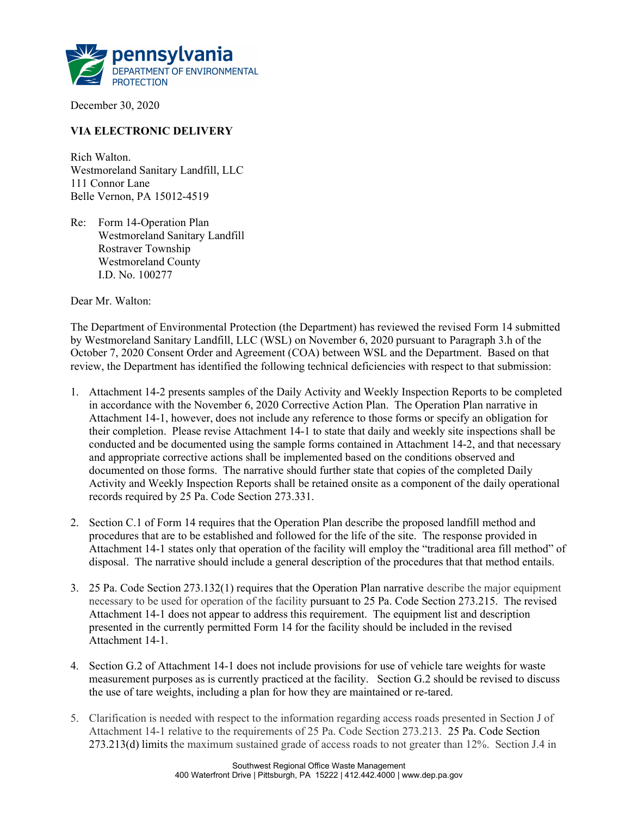

December 30, 2020

## VIA ELECTRONIC DELIVERY

Rich Walton. Westmoreland Sanitary Landfill, LLC 111 Connor Lane Belle Vernon, PA 15012-4519

Re: Form 14-Operation Plan Westmoreland Sanitary Landfill Rostraver Township Westmoreland County I.D. No. 100277

Dear Mr. Walton:

The Department of Environmental Protection (the Department) has reviewed the revised Form 14 submitted by Westmoreland Sanitary Landfill, LLC (WSL) on November 6, 2020 pursuant to Paragraph 3.h of the October 7, 2020 Consent Order and Agreement (COA) between WSL and the Department. Based on that review, the Department has identified the following technical deficiencies with respect to that submission:

- 1. Attachment 14-2 presents samples of the Daily Activity and Weekly Inspection Reports to be completed in accordance with the November 6, 2020 Corrective Action Plan. The Operation Plan narrative in Attachment 14-1, however, does not include any reference to those forms or specify an obligation for their completion. Please revise Attachment 14-1 to state that daily and weekly site inspections shall be conducted and be documented using the sample forms contained in Attachment 14-2, and that necessary and appropriate corrective actions shall be implemented based on the conditions observed and documented on those forms. The narrative should further state that copies of the completed Daily Activity and Weekly Inspection Reports shall be retained onsite as a component of the daily operational records required by 25 Pa. Code Section 273.331.
- 2. Section C.1 of Form 14 requires that the Operation Plan describe the proposed landfill method and procedures that are to be established and followed for the life of the site. The response provided in Attachment 14-1 states only that operation of the facility will employ the "traditional area fill method" of disposal. The narrative should include a general description of the procedures that that method entails.
- 3. 25 Pa. Code Section 273.132(1) requires that the Operation Plan narrative describe the major equipment necessary to be used for operation of the facility pursuant to 25 Pa. Code Section 273.215. The revised Attachment 14-1 does not appear to address this requirement. The equipment list and description presented in the currently permitted Form 14 for the facility should be included in the revised Attachment 14-1.
- 4. Section G.2 of Attachment 14-1 does not include provisions for use of vehicle tare weights for waste measurement purposes as is currently practiced at the facility. Section G.2 should be revised to discuss the use of tare weights, including a plan for how they are maintained or re-tared.
- 5. Clarification is needed with respect to the information regarding access roads presented in Section J of Attachment 14-1 relative to the requirements of 25 Pa. Code Section 273.213. 25 Pa. Code Section 273.213(d) limits the maximum sustained grade of access roads to not greater than 12%. Section J.4 in